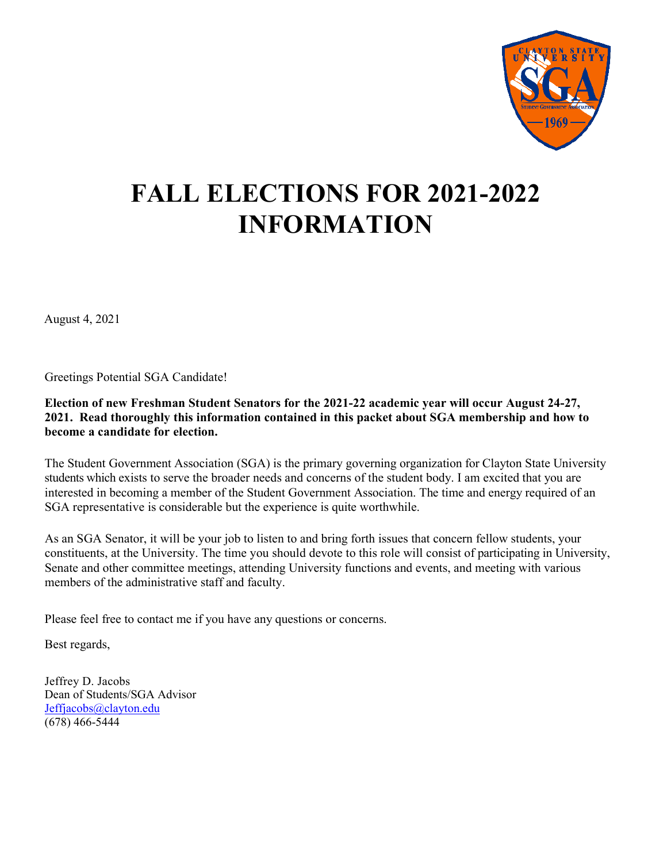

# **FALL ELECTIONS FOR 2021-2022 INFORMATION**

August 4, 2021

Greetings Potential SGA Candidate!

**Election of new Freshman Student Senators for the 2021-22 academic year will occur August 24-27, 2021. Read thoroughly this information contained in this packet about SGA membership and how to become a candidate for election.**

The Student Government Association (SGA) is the primary governing organization for Clayton State University students which exists to serve the broader needs and concerns of the student body. I am excited that you are interested in becoming a member of the Student Government Association. The time and energy required of an SGA representative is considerable but the experience is quite worthwhile.

As an SGA Senator, it will be your job to listen to and bring forth issues that concern fellow students, your constituents, at the University. The time you should devote to this role will consist of participating in University, Senate and other committee meetings, attending University functions and events, and meeting with various members of the administrative staff and faculty.

Please feel free to contact me if you have any questions or concerns.

Best regards,

Jeffrey D. Jacobs Dean of Students/SGA Advisor [Jeffjacobs@clayton.edu](mailto:Jeffjacobs@clayton.edu) (678) 466-5444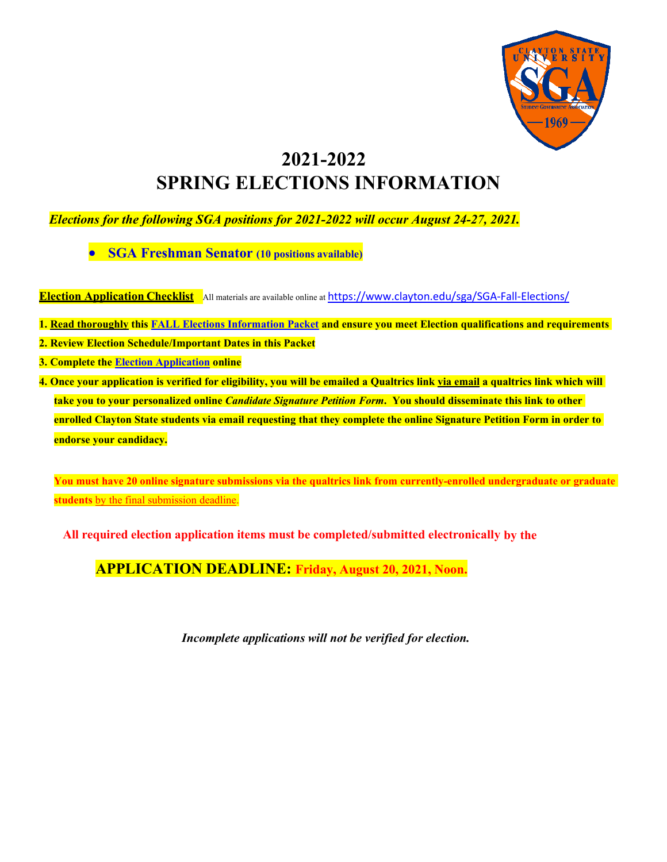

## **2021-2022 SPRING ELECTIONS INFORMATION**

*Elections for the following SGA positions for 2021-2022 will occur August 24-27, 2021.*

• **SGA Freshman Senator (10 positions available)**

**Election Application Checklist** All materials are available online at <https://www.clayton.edu/sga/SGA-Fall-Elections/>

1. Read thoroughly this FALL Elections [Information](http://www.clayton.edu/sga/SGA-SPRING-Elections) Packet and ensure you meet Election qualifications and requirements

**2. Review Election Schedule/Important Dates in this Packet**

**3. Complete the Election [Application](https://claytonstate.qualtrics.com/jfe/form/SV_6V71NAtBFd6sQLj) online**

4. Once your application is verified for eligibility, you will be emailed a Qualtrics link via email a qualtrics link which will **take you to your personalized online** *Candidate Signature Petition Form***. You should disseminate this link to other enrolled Clayton State students via email requesting that they complete the online Signature Petition Form in order to endorse your candidacy.**

**You must have 20 online signature submissions via the qualtrics link from currently-enrolled undergraduate or graduate students** by the final submission deadline.

**All required election application items must be completed/submitted electronically by the** 

**APPLICATION DEADLINE: Friday, August 20, 2021, Noon.**

*Incomplete applications will not be verified for election.*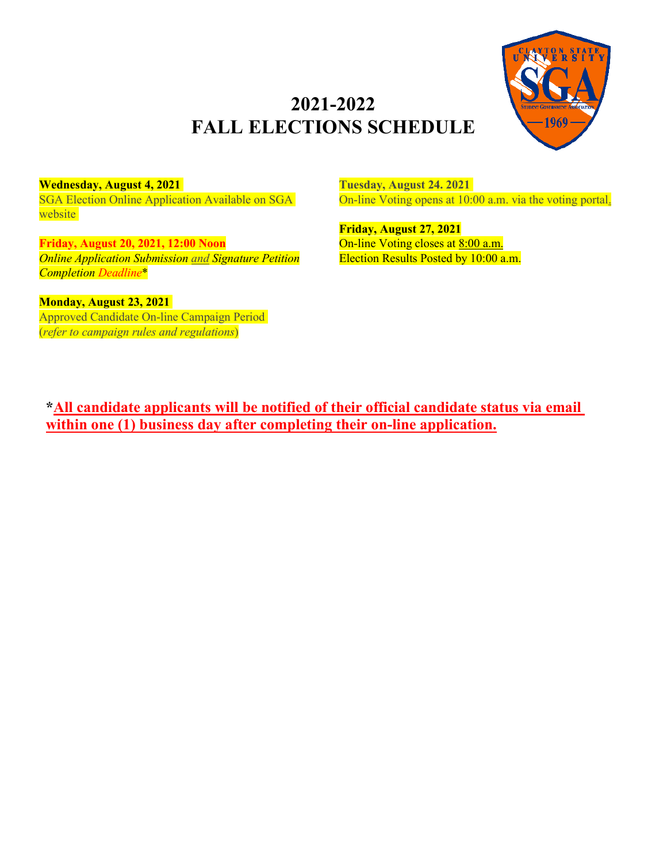## **2021-2022 FALL ELECTIONS SCHEDULE**



**Wednesday, August 4, 2021**

SGA Election Online Application Available on SGA website

**Friday, August 20, 2021, 12:00 Noon** *Online Application Submission and Signature Petition Completion Deadline*\*

**Monday, August 23, 2021**

Approved Candidate On-line Campaign Period (*refer to campaign rules and regulations*)

**Tuesday, August 24. 2021** On-line Voting opens at 10:00 a.m. via the voting portal.

**Friday, August 27, 2021** On-line Voting closes at 8:00 a.m. Election Results Posted by 10:00 a.m.

**\*All candidate applicants will be notified of their official candidate status via email within one (1) business day after completing their on-line application.**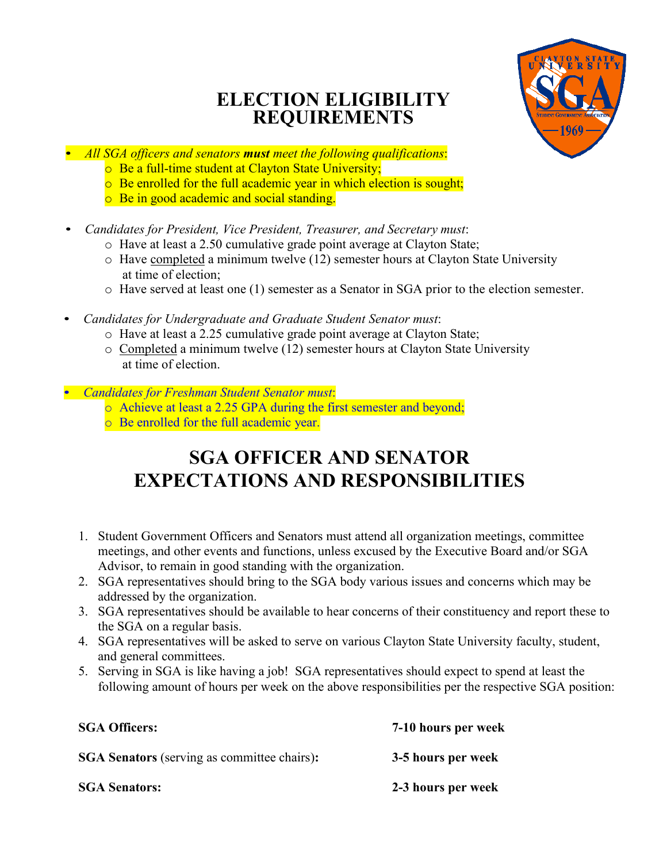### **ELECTION ELIGIBILITY REQUIREMENTS**



- *All SGA officers and senators must meet the following qualifications*:
	- o Be a full-time student at Clayton State University;
	- o Be enrolled for the full academic year in which election is sought;
	- o Be in good academic and social standing.
- *Candidates for President, Vice President, Treasurer, and Secretary must*:
	- o Have at least a 2.50 cumulative grade point average at Clayton State;
	- o Have completed a minimum twelve (12) semester hours at Clayton State University at time of election;
	- o Have served at least one (1) semester as a Senator in SGA prior to the election semester.
- *Candidates for Undergraduate and Graduate Student Senator must*:
	- o Have at least a 2.25 cumulative grade point average at Clayton State;
	- o Completed a minimum twelve (12) semester hours at Clayton State University at time of election.
- *Candidates for Freshman Student Senator must*:
	- o Achieve at least a 2.25 GPA during the first semester and beyond;
	- o Be enrolled for the full academic year.

## **SGA OFFICER AND SENATOR EXPECTATIONS AND RESPONSIBILITIES**

- 1. Student Government Officers and Senators must attend all organization meetings, committee meetings, and other events and functions, unless excused by the Executive Board and/or SGA Advisor, to remain in good standing with the organization.
- 2. SGA representatives should bring to the SGA body various issues and concerns which may be addressed by the organization.
- 3. SGA representatives should be available to hear concerns of their constituency and report these to the SGA on a regular basis.
- 4. SGA representatives will be asked to serve on various Clayton State University faculty, student, and general committees.
- 5. Serving in SGA is like having a job! SGA representatives should expect to spend at least the following amount of hours per week on the above responsibilities per the respective SGA position:

| <b>SGA Officers:</b>                               | 7-10 hours per week |
|----------------------------------------------------|---------------------|
| <b>SGA Senators</b> (serving as committee chairs): | 3-5 hours per week  |
| <b>SGA Senators:</b>                               | 2-3 hours per week  |